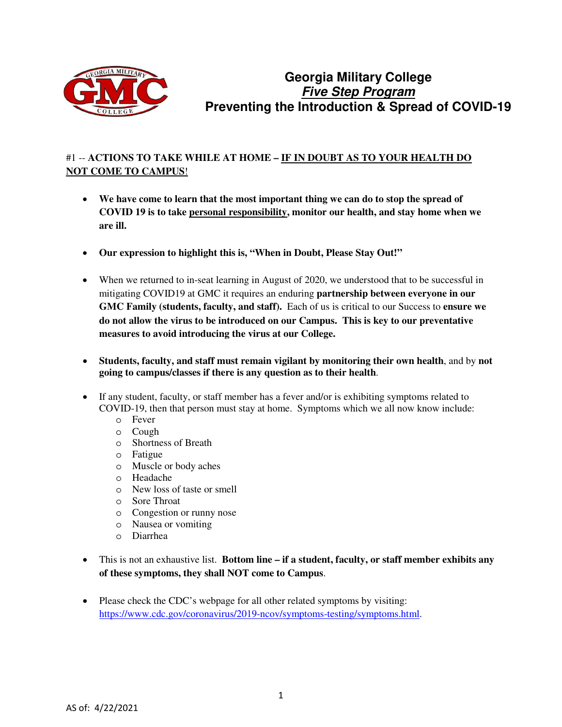

# **Georgia Military College Five Step Program Preventing the Introduction & Spread of COVID-19**

#### #1 -- **ACTIONS TO TAKE WHILE AT HOME – IF IN DOUBT AS TO YOUR HEALTH DO NOT COME TO CAMPUS**!

- **We have come to learn that the most important thing we can do to stop the spread of COVID 19 is to take personal responsibility, monitor our health, and stay home when we are ill.**
- **Our expression to highlight this is, "When in Doubt, Please Stay Out!"**
- When we returned to in-seat learning in August of 2020, we understood that to be successful in mitigating COVID19 at GMC it requires an enduring **partnership between everyone in our GMC Family (students, faculty, and staff).** Each of us is critical to our Success to **ensure we do not allow the virus to be introduced on our Campus. This is key to our preventative measures to avoid introducing the virus at our College.**
- **Students, faculty, and staff must remain vigilant by monitoring their own health**, and by **not going to campus/classes if there is any question as to their health**.
- If any student, faculty, or staff member has a fever and/or is exhibiting symptoms related to COVID-19, then that person must stay at home. Symptoms which we all now know include:
	- o Fever
	- o Cough
	- o Shortness of Breath
	- o Fatigue
	- o Muscle or body aches
	- o Headache
	- o New loss of taste or smell
	- o Sore Throat
	- o Congestion or runny nose
	- o Nausea or vomiting
	- o Diarrhea
- This is not an exhaustive list. **Bottom line if a student, faculty, or staff member exhibits any of these symptoms, they shall NOT come to Campus**.
- Please check the CDC's webpage for all other related symptoms by visiting: [https://www.cdc.gov/coronavirus/2019-ncov/symptoms-testing/symptoms.html.](https://www.cdc.gov/coronavirus/2019-ncov/symptoms-testing/symptoms.html)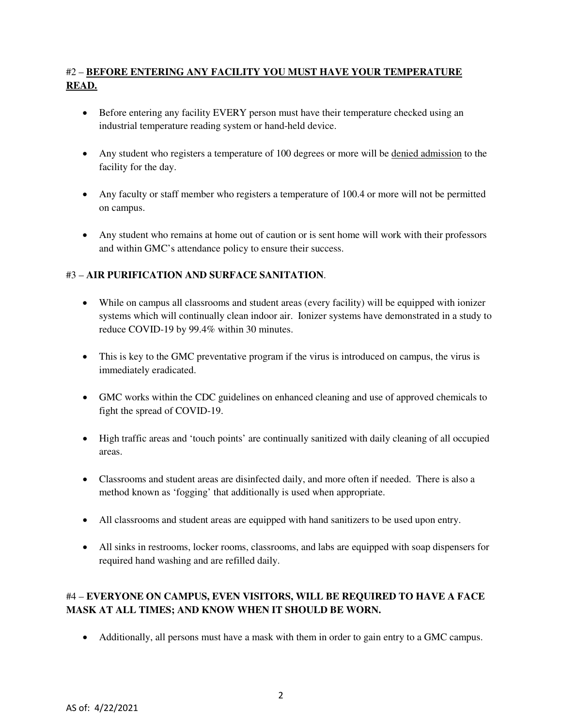# #2 – **BEFORE ENTERING ANY FACILITY YOU MUST HAVE YOUR TEMPERATURE READ.**

- Before entering any facility EVERY person must have their temperature checked using an industrial temperature reading system or hand-held device.
- Any student who registers a temperature of 100 degrees or more will be denied admission to the facility for the day.
- Any faculty or staff member who registers a temperature of 100.4 or more will not be permitted on campus.
- Any student who remains at home out of caution or is sent home will work with their professors and within GMC's attendance policy to ensure their success.

### #3 – **AIR PURIFICATION AND SURFACE SANITATION**.

- While on campus all classrooms and student areas (every facility) will be equipped with ionizer systems which will continually clean indoor air. Ionizer systems have demonstrated in a study to reduce COVID-19 by 99.4% within 30 minutes.
- This is key to the GMC preventative program if the virus is introduced on campus, the virus is immediately eradicated.
- GMC works within the CDC guidelines on enhanced cleaning and use of approved chemicals to fight the spread of COVID-19.
- High traffic areas and 'touch points' are continually sanitized with daily cleaning of all occupied areas.
- Classrooms and student areas are disinfected daily, and more often if needed. There is also a method known as 'fogging' that additionally is used when appropriate.
- All classrooms and student areas are equipped with hand sanitizers to be used upon entry.
- All sinks in restrooms, locker rooms, classrooms, and labs are equipped with soap dispensers for required hand washing and are refilled daily.

# #4 – **EVERYONE ON CAMPUS, EVEN VISITORS, WILL BE REQUIRED TO HAVE A FACE MASK AT ALL TIMES; AND KNOW WHEN IT SHOULD BE WORN.**

• Additionally, all persons must have a mask with them in order to gain entry to a GMC campus.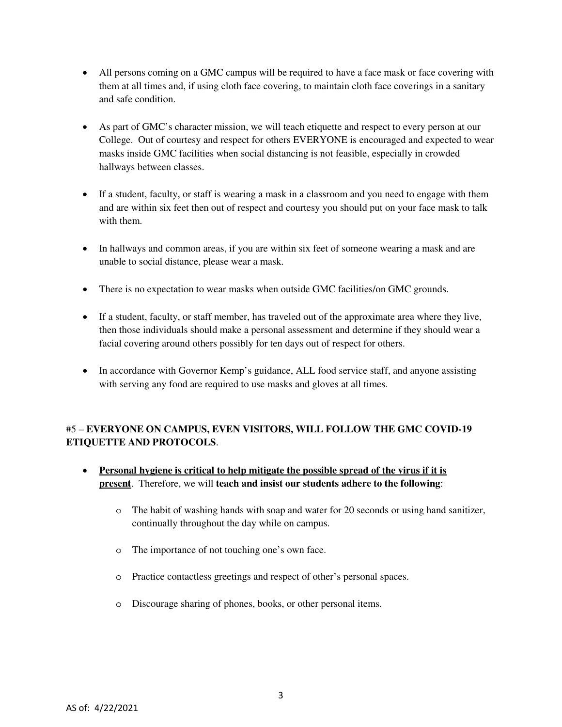- All persons coming on a GMC campus will be required to have a face mask or face covering with them at all times and, if using cloth face covering, to maintain cloth face coverings in a sanitary and safe condition.
- As part of GMC's character mission, we will teach etiquette and respect to every person at our College. Out of courtesy and respect for others EVERYONE is encouraged and expected to wear masks inside GMC facilities when social distancing is not feasible, especially in crowded hallways between classes.
- If a student, faculty, or staff is wearing a mask in a classroom and you need to engage with them and are within six feet then out of respect and courtesy you should put on your face mask to talk with them.
- In hallways and common areas, if you are within six feet of someone wearing a mask and are unable to social distance, please wear a mask.
- There is no expectation to wear masks when outside GMC facilities/on GMC grounds.
- If a student, faculty, or staff member, has traveled out of the approximate area where they live, then those individuals should make a personal assessment and determine if they should wear a facial covering around others possibly for ten days out of respect for others.
- In accordance with Governor Kemp's guidance, ALL food service staff, and anyone assisting with serving any food are required to use masks and gloves at all times.

### #5 – **EVERYONE ON CAMPUS, EVEN VISITORS, WILL FOLLOW THE GMC COVID-19 ETIQUETTE AND PROTOCOLS**.

- **Personal hygiene is critical to help mitigate the possible spread of the virus if it is present**. Therefore, we will **teach and insist our students adhere to the following**:
	- o The habit of washing hands with soap and water for 20 seconds or using hand sanitizer, continually throughout the day while on campus.
	- o The importance of not touching one's own face.
	- o Practice contactless greetings and respect of other's personal spaces.
	- o Discourage sharing of phones, books, or other personal items.